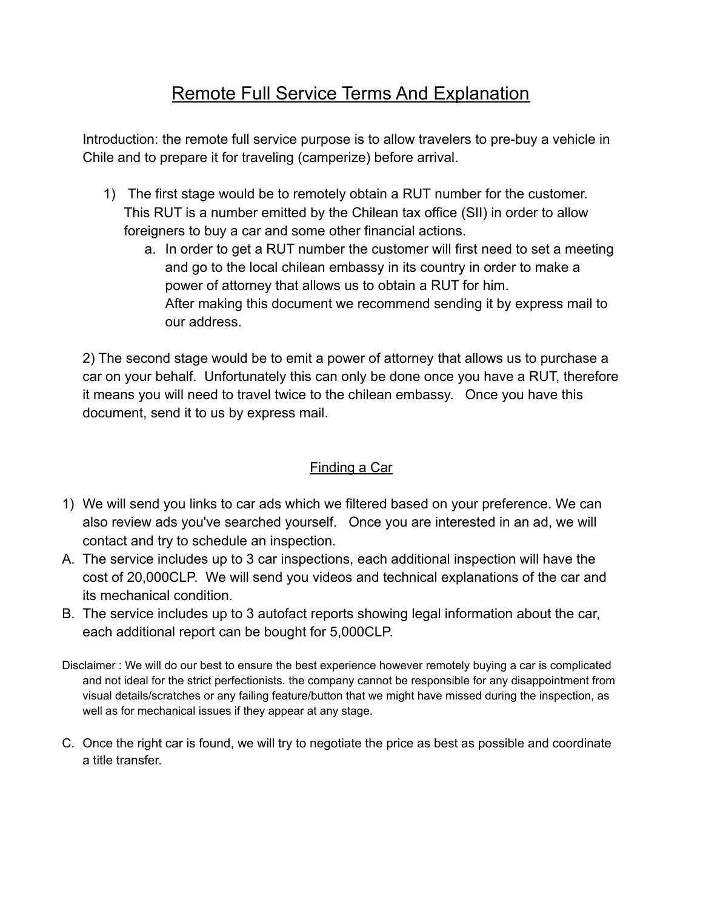# Remote Full Service Terms And Explanation

Introduction: the remote full service purpose is to allow travelers to pre-buy a vehicle in Chile and to prepare it for traveling (camperize) before arrival.

- 1) The first stage would be to remotely obtain a RUT number for the customer. This RUT is a number emitted by the Chilean tax office (SII) in order to allow foreigners to buy a car and some other financial actions.
	- a. In order to get a RUT number the customer will first need to set a meeting and go to the local chilean embassy in its country in order to make a power of attorney that allows us to obtain a RUT for him. After making this document we recommend sending it by express mail to our address.

2) The second stage would be to emit a power of attorney that allows us to purchase a car on your behalf. Unfortunately this can only be done once you have a RUT, therefore it means you will need to travel twice to the chilean embassy. Once you have this document, send it to us by express mail.

## Finding a Car

- 1) We will send you links to car ads which we filtered based on your preference. We can also review ads you've searched yourself. Once you are interested in an ad, we will contact and try to schedule an inspection.
- A. The service includes up to 3 car inspections, each additional inspection will have the cost of 20,000CLP. We will send you videos and technical explanations of the car and its mechanical condition.
- B. The service includes up to 3 autofact reports showing legal information about the car, each additional report can be bought for 5,000CLP.
- Disclaimer : We will do our best to ensure the best experience however remotely buying a car is complicated and not ideal for the strict perfectionists. the company cannot be responsible for any disappointment from visual details/scratches or any failing feature/button that we might have missed during the inspection, as well as for mechanical issues if they appear at any stage.
- C. Once the right car is found, we will try to negotiate the price as best as possible and coordinate a title transfer.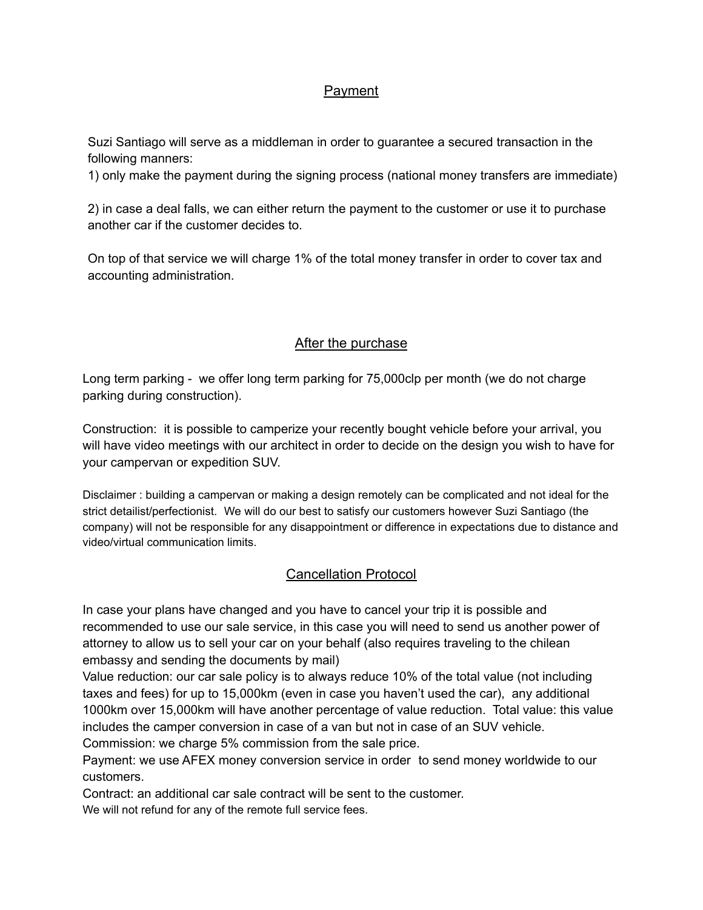#### Payment

Suzi Santiago will serve as a middleman in order to guarantee a secured transaction in the following manners:

1) only make the payment during the signing process (national money transfers are immediate)

2) in case a deal falls, we can either return the payment to the customer or use it to purchase another car if the customer decides to.

On top of that service we will charge 1% of the total money transfer in order to cover tax and accounting administration.

#### After the purchase

Long term parking - we offer long term parking for 75,000clp per month (we do not charge parking during construction).

Construction: it is possible to camperize your recently bought vehicle before your arrival, you will have video meetings with our architect in order to decide on the design you wish to have for your campervan or expedition SUV.

Disclaimer : building a campervan or making a design remotely can be complicated and not ideal for the strict detailist/perfectionist. We will do our best to satisfy our customers however Suzi Santiago (the company) will not be responsible for any disappointment or difference in expectations due to distance and video/virtual communication limits.

### Cancellation Protocol

In case your plans have changed and you have to cancel your trip it is possible and recommended to use our sale service, in this case you will need to send us another power of attorney to allow us to sell your car on your behalf (also requires traveling to the chilean embassy and sending the documents by mail)

Value reduction: our car sale policy is to always reduce 10% of the total value (not including taxes and fees) for up to 15,000km (even in case you haven't used the car), any additional 1000km over 15,000km will have another percentage of value reduction. Total value: this value includes the camper conversion in case of a van but not in case of an SUV vehicle. Commission: we charge 5% commission from the sale price.

Payment: we use AFEX money conversion service in order to send money worldwide to our customers.

Contract: an additional car sale contract will be sent to the customer. We will not refund for any of the remote full service fees.